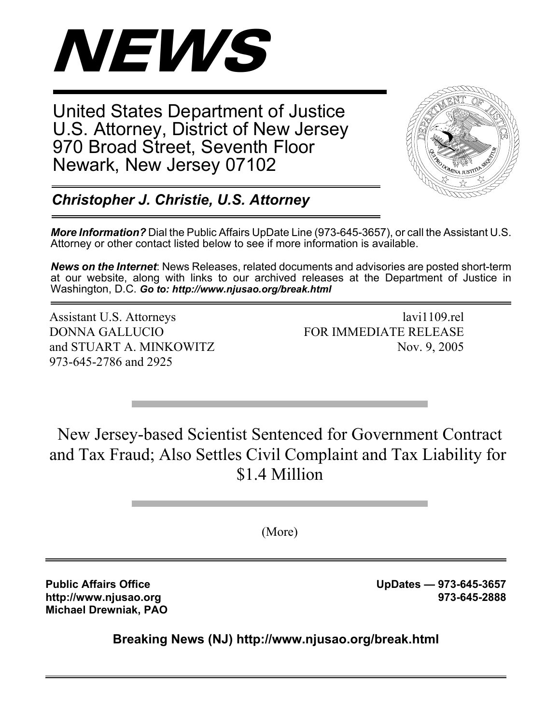

United States Department of Justice U.S. Attorney, District of New Jersey 970 Broad Street, Seventh Floor Newark, New Jersey 07102



*Christopher J. Christie, U.S. Attorney*

*More Information?* Dial the Public Affairs UpDate Line (973-645-3657), or call the Assistant U.S. Attorney or other contact listed below to see if more information is available.

*News on the Internet*: News Releases, related documents and advisories are posted short-term at our website, along with links to our archived releases at the Department of Justice in Washington, D.C. *Go to: http://www.njusao.org/break.html*

Assistant U.S. Attorneys lavi1109.rel DONNA GALLUCIO FOR IMMEDIATE RELEASE and STUART A. MINKOWITZ Nov. 9, 2005 973-645-2786 and 2925

New Jersey-based Scientist Sentenced for Government Contract and Tax Fraud; Also Settles Civil Complaint and Tax Liability for \$1.4 Million

(More)

**Michael Drewniak, PAO**

Public Affairs Office **No. 2018 UpDates — 973-645-3657 http://www.njusao.org 973-645-2888**

**Breaking News (NJ) http://www.njusao.org/break.html**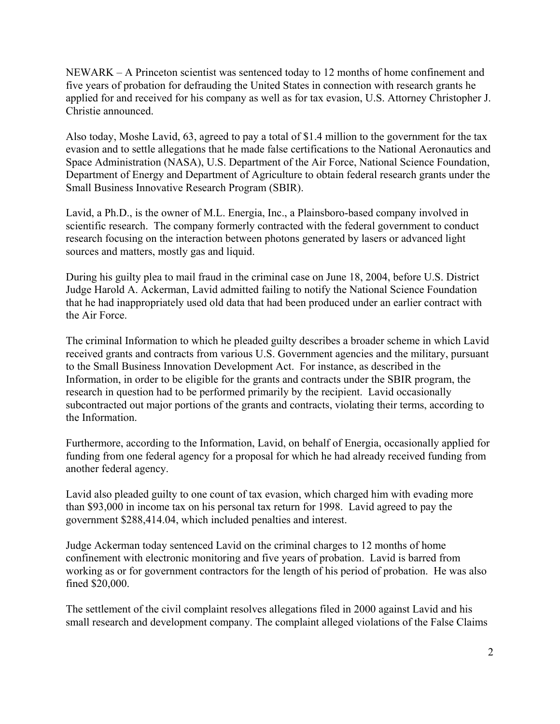NEWARK – A Princeton scientist was sentenced today to 12 months of home confinement and five years of probation for defrauding the United States in connection with research grants he applied for and received for his company as well as for tax evasion, U.S. Attorney Christopher J. Christie announced.

Also today, Moshe Lavid, 63, agreed to pay a total of \$1.4 million to the government for the tax evasion and to settle allegations that he made false certifications to the National Aeronautics and Space Administration (NASA), U.S. Department of the Air Force, National Science Foundation, Department of Energy and Department of Agriculture to obtain federal research grants under the Small Business Innovative Research Program (SBIR).

Lavid, a Ph.D., is the owner of M.L. Energia, Inc., a Plainsboro-based company involved in scientific research. The company formerly contracted with the federal government to conduct research focusing on the interaction between photons generated by lasers or advanced light sources and matters, mostly gas and liquid.

During his guilty plea to mail fraud in the criminal case on June 18, 2004, before U.S. District Judge Harold A. Ackerman, Lavid admitted failing to notify the National Science Foundation that he had inappropriately used old data that had been produced under an earlier contract with the Air Force.

The criminal Information to which he pleaded guilty describes a broader scheme in which Lavid received grants and contracts from various U.S. Government agencies and the military, pursuant to the Small Business Innovation Development Act. For instance, as described in the Information, in order to be eligible for the grants and contracts under the SBIR program, the research in question had to be performed primarily by the recipient. Lavid occasionally subcontracted out major portions of the grants and contracts, violating their terms, according to the Information.

Furthermore, according to the Information, Lavid, on behalf of Energia, occasionally applied for funding from one federal agency for a proposal for which he had already received funding from another federal agency.

Lavid also pleaded guilty to one count of tax evasion, which charged him with evading more than \$93,000 in income tax on his personal tax return for 1998. Lavid agreed to pay the government \$288,414.04, which included penalties and interest.

Judge Ackerman today sentenced Lavid on the criminal charges to 12 months of home confinement with electronic monitoring and five years of probation. Lavid is barred from working as or for government contractors for the length of his period of probation. He was also fined \$20,000.

The settlement of the civil complaint resolves allegations filed in 2000 against Lavid and his small research and development company. The complaint alleged violations of the False Claims